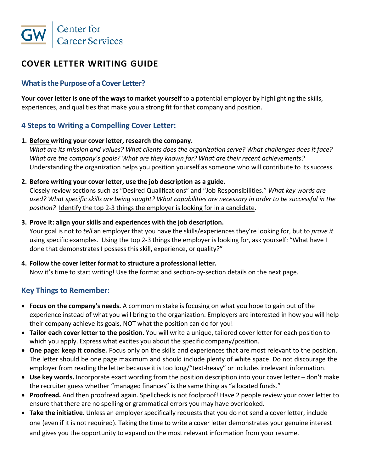

# **COVER LETTER WRITING GUIDE**

## **What is the Purpose of a Cover Letter?**

**Your cover letter is one of the ways to market yourself** to a potential employer by highlighting the skills, experiences, and qualities that make you a strong fit for that company and position.

## **4 Steps to Writing a Compelling Cover Letter:**

#### **1. Before writing your cover letter, research the company.**

*What are its mission and values? What clients does the organization serve? What challenges does it face? What are the company's goals? What are they known for? What are their recent achievements?* Understanding the organization helps you position yourself as someone who will contribute to its success.

#### **2. Before writing your cover letter, use the job description as a guide.**

Closely review sections such as "Desired Qualifications" and "Job Responsibilities." *What key words are used? What specific skills are being sought? What capabilities are necessary in order to be successful in the position?* Identify the top 2-3 things the employer is looking for in a candidate.

#### **3. Prove it: align your skills and experiences with the job description.**

Your goal is not to *tell* an employer that you have the skills/experiences they're looking for, but to *prove it* using specific examples. Using the top 2-3 things the employer is looking for, ask yourself: "What have I done that demonstrates I possess this skill, experience, or quality?"

### **4. Follow the cover letter format to structure a professional letter.**

Now it's time to start writing! Use the format and section-by-section details on the next page.

## **Key Things to Remember:**

- **Focus on the company's needs.** A common mistake is focusing on what you hope to gain out of the experience instead of what you will bring to the organization. Employers are interested in how you will help their company achieve its goals, NOT what the position can do for you!
- **Tailor each cover letter to the position.** You will write a unique, tailored cover letter for each position to which you apply. Express what excites you about the specific company/position.
- **One page: keep it concise.** Focus only on the skills and experiences that are most relevant to the position. The letter should be one page maximum and should include plenty of white space. Do not discourage the employer from reading the letter because it is too long/"text-heavy" or includes irrelevant information.
- **Use key words.** Incorporate exact wording from the position description into your cover letter don't make the recruiter guess whether "managed finances" is the same thing as "allocated funds."
- **Proofread.** And then proofread again. Spellcheck is not foolproof! Have 2 people review your cover letter to ensure that there are no spelling or grammatical errors you may have overlooked.
- **Take the initiative.** Unless an employer specifically requests that you do not send a cover letter, include one (even if it is not required). Taking the time to write a cover letter demonstrates your genuine interest and gives you the opportunity to expand on the most relevant information from your resume.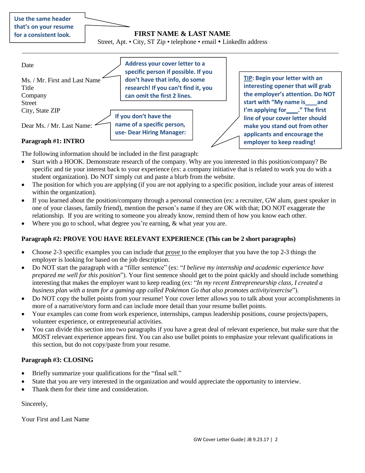| Use the same header    |
|------------------------|
| that's on your resume  |
| for a consistent look. |

Street, Apt. • City, ST Zip • telephone • email • LinkedIn address



The following information should be included in the first paragraph:

- Start with a HOOK. Demonstrate research of the company. Why are you interested in this position/company? Be specific and tie your interest back to your experience (ex: a company initiative that is related to work you do with a student organization). Do NOT simply cut and paste a blurb from the website.
- The position for which you are applying (if you are not applying to a specific position, include your areas of interest within the organization).
- If you learned about the position/company through a personal connection (ex: a recruiter, GW alum, guest speaker in one of your classes, family friend), mention the person's name if they are OK with that; DO NOT exaggerate the relationship. If you are writing to someone you already know, remind them of how you know each other.
- Where you go to school, what degree you're earning, & what year you are.

#### **Paragraph #2: PROVE YOU HAVE RELEVANT EXPERIENCE (This can be 2 short paragraphs)**

- Choose 2-3 specific examples you can include that *prove* to the employer that you have the top 2-3 things the employer is looking for based on the job description.
- Do NOT start the paragraph with a "filler sentence" (ex: "*I believe my internship and academic experience have prepared me well for this position*"). Your first sentence should get to the point quickly and should include something interesting that makes the employer want to keep reading (ex: "*In my recent Entrepreneurship class, I created a business plan with a team for a gaming app called Pokémon Go that also promotes activity/exercise*").
- Do NOT copy the bullet points from your resume! Your cover letter allows you to talk about your accomplishments in more of a narrative/story form and can include more detail than your resume bullet points.
- Your examples can come from work experience, internships, campus leadership positions, course projects/papers, volunteer experience, or entrepreneurial activities.
- You can divide this section into two paragraphs if you have a great deal of relevant experience, but make sure that the MOST relevant experience appears first. You can also use bullet points to emphasize your relevant qualifications in this section, but do not copy/paste from your resume.

#### **Paragraph #3: CLOSING**

- Briefly summarize your qualifications for the "final sell."
- State that you are very interested in the organization and would appreciate the opportunity to interview.
- Thank them for their time and consideration.

Sincerely,

Your First and Last Name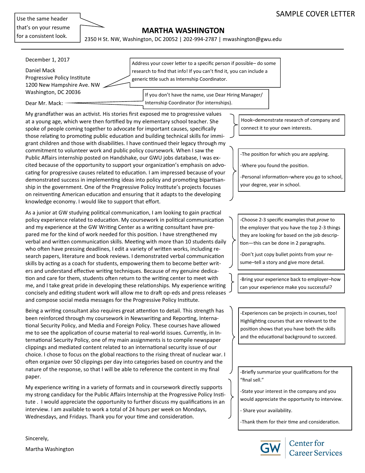Use the same header that's on your resume for a consistent look.

## **MARTHA WASHINGTON**

2350 H St. NW, Washington, DC 20052 | 202-994-2787 | mwashington@gwu.edu

| December 1, 2017<br>Daniel Mack<br>Progressive Policy Institute<br>1200 New Hampshire Ave. NW | Address your cover letter to a specific person if possible-do some<br>research to find that info! If you can't find it, you can include a<br>generic title such as Internship Coordinator. |
|-----------------------------------------------------------------------------------------------|--------------------------------------------------------------------------------------------------------------------------------------------------------------------------------------------|
| Washington, DC 20036                                                                          | If you don't have the name, use Dear Hiring Manager/                                                                                                                                       |
| Dear Mr. Mack:                                                                                | Internship Coordinator (for internships).                                                                                                                                                  |

My grandfather was an activist. His stories first exposed me to progressive values at a young age, which were then fortified by my elementary school teacher. She spoke of people coming together to advocate for important causes, specifically those relating to promoting public education and building technical skills for immigrant children and those with disabilities. I have continued their legacy through my commitment to volunteer work and public policy coursework. When I saw the Public Affairs internship posted on Handshake, our GWU jobs database, I was excited because of the opportunity to support your organization's emphasis on advocating for progressive causes related to education. I am impressed because of your demonstrated success in implementing ideas into policy and promoting bipartisanship in the government. One of the Progressive Policy Institute's projects focuses on reinventing American education and ensuring that it adapts to the developing knowledge economy. I would like to support that effort.

As a junior at GW studying political communication, I am looking to gain practical policy experience related to education. My coursework in political communication and my experience at the GW Writing Center as a writing consultant have prepared me for the kind of work needed for this position. I have strengthened my verbal and written communication skills. Meeting with more than 10 students daily who often have pressing deadlines, I edit a variety of written works, including research papers, literature and book reviews. I demonstrated verbal communication skills by acting as a coach for students, empowering them to become better writers and understand effective writing techniques. Because of my genuine dedication and care for them, students often return to the writing center to meet with me, and I take great pride in developing these relationships. My experience writing concisely and editing student work will allow me to draft op-eds and press releases and compose social media messages for the Progressive Policy Institute.

Being a writing consultant also requires great attention to detail. This strength has been reinforced through my coursework in Newswriting and Reporting, International Security Policy, and Media and Foreign Policy. These courses have allowed me to see the application of course material to real-world issues. Currently, in International Security Policy, one of my main assignments is to compile newspaper clippings and mediated content related to an international security issue of our choice. I chose to focus on the global reactions to the rising threat of nuclear war. I often organize over 50 clippings per day into categories based on country and the nature of the response, so that I will be able to reference the content in my final paper.

My experience writing in a variety of formats and in coursework directly supports my strong candidacy for the Public Affairs Internship at the Progressive Policy Institute . I would appreciate the opportunity to further discuss my qualifications in an interview. I am available to work a total of 24 hours per week on Mondays, Wednesdays, and Fridays. Thank you for your time and consideration.

Hook–demonstrate research of company and connect it to your own interests.

-The position for which you are applying.

-Where you found the position.

-Personal information–where you go to school, your degree, year in school.

-Choose 2-3 specific examples that *prove* to the employer that you have the top 2-3 things they are looking for based on the job description—this can be done in 2 paragraphs.

-Don't just copy bullet points from your resume–tell a story and give more detail.

-Bring your experience back to employer–how can your experience make you successful?

-Experiences can be projects in courses, too! Highlighting courses that are relevant to the position shows that you have both the skills and the educational background to succeed.

-Briefly summarize your qualifications for the "final sell."

-State your interest in the company and you would appreciate the opportunity to interview.

- Share your availability.

-Thank them for their time and consideration.



**Center** for **Career Services** 

Sincerely, Martha Washington